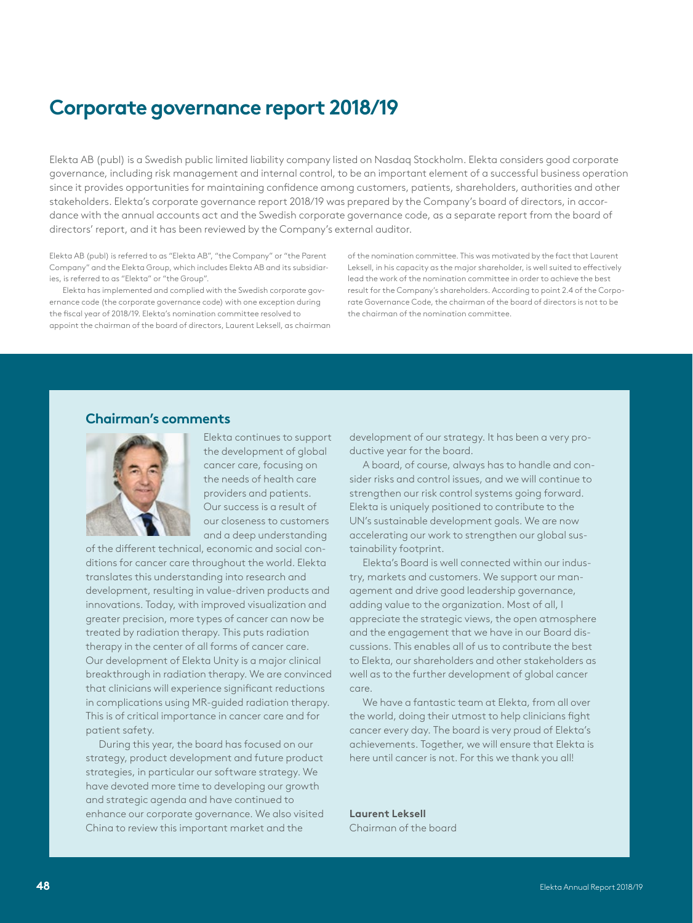# **Corporate governance report 2018/19**

Elekta AB (publ) is a Swedish public limited liability company listed on Nasdaq Stockholm. Elekta considers good corporate governance, including risk management and internal control, to be an important element of a successful business operation since it provides opportunities for maintaining confidence among customers, patients, shareholders, authorities and other stakeholders. Elekta's corporate governance report 2018/19 was prepared by the Company's board of directors, in accordance with the annual accounts act and the Swedish corporate governance code, as a separate report from the board of directors' report, and it has been reviewed by the Company's external auditor.

Elekta AB (publ) is referred to as "Elekta AB", "the Company" or "the Parent Company" and the Elekta Group, which includes Elekta AB and its subsidiaries, is referred to as "Elekta" or "the Group".

Elekta has implemented and complied with the Swedish corporate governance code (the corporate governance code) with one exception during the fiscal year of 2018/19. Elekta's nomination committee resolved to appoint the chairman of the board of directors, Laurent Leksell, as chairman of the nomination committee. This was motivated by the fact that Laurent Leksell, in his capacity as the major shareholder, is well suited to effectively lead the work of the nomination committee in order to achieve the best result for the Company's shareholders. According to point 2.4 of the Corporate Governance Code, the chairman of the board of directors is not to be the chairman of the nomination committee.

## **Chairman's comments**



Elekta continues to support the development of global cancer care, focusing on the needs of health care providers and patients. Our success is a result of our closeness to customers and a deep understanding

of the different technical, economic and social conditions for cancer care throughout the world. Elekta translates this understanding into research and development, resulting in value-driven products and innovations. Today, with improved visualization and greater precision, more types of cancer can now be treated by radiation therapy. This puts radiation therapy in the center of all forms of cancer care. Our development of Elekta Unity is a major clinical breakthrough in radiation therapy. We are convinced that clinicians will experience significant reductions in complications using MR-guided radiation therapy. This is of critical importance in cancer care and for patient safety.

During this year, the board has focused on our strategy, product development and future product strategies, in particular our software strategy. We have devoted more time to developing our growth and strategic agenda and have continued to enhance our corporate governance. We also visited China to review this important market and the

development of our strategy. It has been a very productive year for the board.

A board, of course, always has to handle and consider risks and control issues, and we will continue to strengthen our risk control systems going forward. Elekta is uniquely positioned to contribute to the UN's sustainable development goals. We are now accelerating our work to strengthen our global sustainability footprint.

Elekta's Board is well connected within our industry, markets and customers. We support our management and drive good leadership governance, adding value to the organization. Most of all, I appreciate the strategic views, the open atmosphere and the engagement that we have in our Board discussions. This enables all of us to contribute the best to Elekta, our shareholders and other stakeholders as well as to the further development of global cancer care.

We have a fantastic team at Elekta, from all over the world, doing their utmost to help clinicians fight cancer every day. The board is very proud of Elekta's achievements. Together, we will ensure that Elekta is here until cancer is not. For this we thank you all!

**Laurent Leksell** Chairman of the board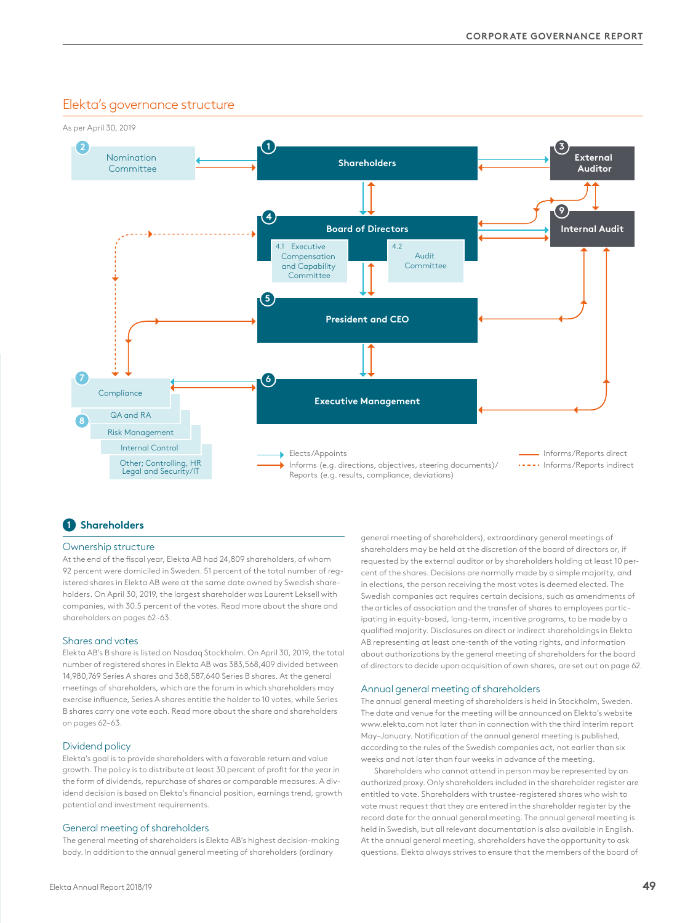## Elekta's governance structure



## **1 Shareholders**

#### Ownership structure

At the end of the fiscal year, Elekta AB had 24,809 shareholders, of whom 92 percent were domiciled in Sweden. 51 percent of the total number of registered shares in Elekta AB were at the same date owned by Swedish shareholders. On April 30, 2019, the largest shareholder was Laurent Leksell with companies, with 30.5 percent of the votes. Read more about the share and shareholders on pages 62–63.

## Shares and votes

Elekta AB's B share is listed on Nasdaq Stockholm. On April 30, 2019, the total number of registered shares in Elekta AB was 383,568,409 divided between 14,980,769 Series A shares and 368,587,640 Series B shares. At the general meetings of shareholders, which are the forum in which shareholders may exercise influence, Series A shares entitle the holder to 10 votes, while Series B shares carry one vote each. Read more about the share and shareholders on pages 62–63.

### Dividend policy

Elekta's goal is to provide shareholders with a favorable return and value growth. The policy is to distribute at least 30 percent of profit for the year in the form of dividends, repurchase of shares or comparable measures. A dividend decision is based on Elekta's financial position, earnings trend, growth potential and investment requirements.

#### General meeting of shareholders

The general meeting of shareholders is Elekta AB's highest decision-making body. In addition to the annual general meeting of shareholders (ordinary

general meeting of shareholders), extraordinary general meetings of shareholders may be held at the discretion of the board of directors or, if requested by the external auditor or by shareholders holding at least 10 percent of the shares. Decisions are normally made by a simple majority, and in elections, the person receiving the most votes is deemed elected. The Swedish companies act requires certain decisions, such as amendments of the articles of association and the transfer of shares to employees participating in equity-based, long-term, incentive programs, to be made by a qualified majority. Disclosures on direct or indirect shareholdings in Elekta AB representing at least one-tenth of the voting rights, and information about authorizations by the general meeting of shareholders for the board of directors to decide upon acquisition of own shares, are set out on page 62.

#### Annual general meeting of shareholders

The annual general meeting of shareholders is held in Stockholm, Sweden. The date and venue for the meeting will be announced on Elekta's website www.elekta.com not later than in connection with the third interim report May–January. Notification of the annual general meeting is published, according to the rules of the Swedish companies act, not earlier than six weeks and not later than four weeks in advance of the meeting.

Shareholders who cannot attend in person may be represented by an authorized proxy. Only shareholders included in the shareholder register are entitled to vote. Shareholders with trustee-registered shares who wish to vote must request that they are entered in the shareholder register by the record date for the annual general meeting. The annual general meeting is held in Swedish, but all relevant documentation is also available in English. At the annual general meeting, shareholders have the opportunity to ask questions. Elekta always strives to ensure that the members of the board of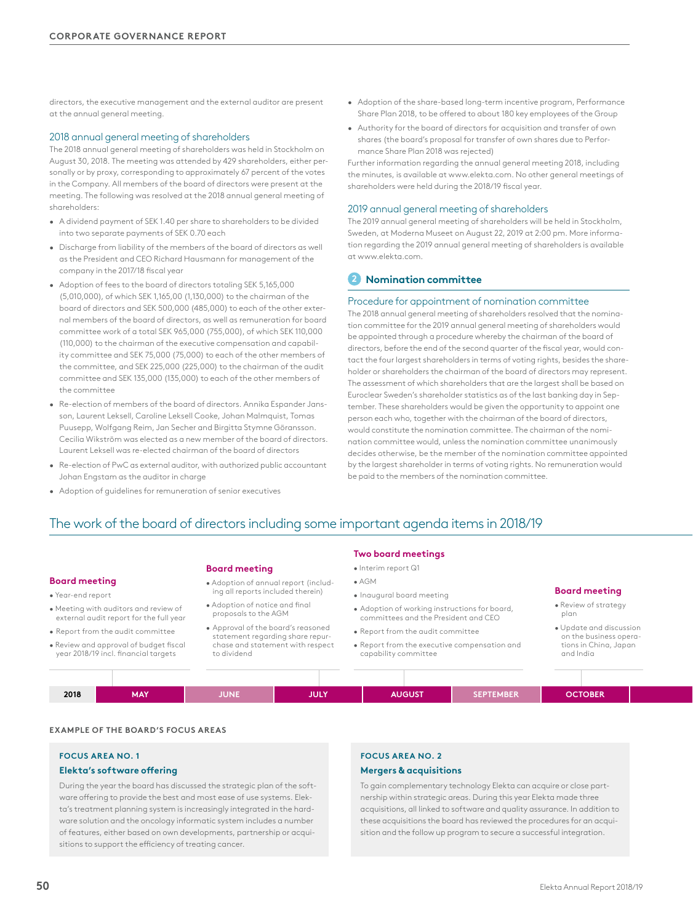directors, the executive management and the external auditor are present at the annual general meeting.

## 2018 annual general meeting of shareholders

The 2018 annual general meeting of shareholders was held in Stockholm on August 30, 2018. The meeting was attended by 429 shareholders, either personally or by proxy, corresponding to approximately 67 percent of the votes in the Company. All members of the board of directors were present at the meeting. The following was resolved at the 2018 annual general meeting of shareholders:

- A dividend payment of SEK 1.40 per share to shareholders to be divided into two separate payments of SEK 0.70 each
- Discharge from liability of the members of the board of directors as well as the President and CEO Richard Hausmann for management of the company in the 2017/18 fiscal year
- Adoption of fees to the board of directors totaling SEK 5,165,000 (5,010,000), of which SEK 1,165,00 (1,130,000) to the chairman of the board of directors and SEK 500,000 (485,000) to each of the other external members of the board of directors, as well as remuneration for board committee work of a total SEK 965,000 (755,000), of which SEK 110,000 (110,000) to the chairman of the executive compensation and capability committee and SEK 75,000 (75,000) to each of the other members of the committee, and SEK 225,000 (225,000) to the chairman of the audit committee and SEK 135,000 (135,000) to each of the other members of the committee
- Re-election of members of the board of directors. Annika Espander Jansson, Laurent Leksell, Caroline Leksell Cooke, Johan Malmquist, Tomas Puusepp, Wolfgang Reim, Jan Secher and Birgitta Stymne Göransson. Cecilia Wikström was elected as a new member of the board of directors. Laurent Leksell was re-elected chairman of the board of directors
- Re-election of PwC as external auditor, with authorized public accountant Johan Engstam as the auditor in charge
- Adoption of guidelines for remuneration of senior executives
- Adoption of the share-based long-term incentive program, Performance Share Plan 2018, to be offered to about 180 key employees of the Group
- Authority for the board of directors for acquisition and transfer of own shares (the board's proposal for transfer of own shares due to Performance Share Plan 2018 was rejected)

Further information regarding the annual general meeting 2018, including the minutes, is available at www.elekta.com. No other general meetings of shareholders were held during the 2018/19 fiscal year.

## 2019 annual general meeting of shareholders

The 2019 annual general meeting of shareholders will be held in Stockholm, Sweden, at Moderna Museet on August 22, 2019 at 2:00 pm. More information regarding the 2019 annual general meeting of shareholders is available at www.elekta.com.

## **2 Nomination committee**

#### Procedure for appointment of nomination committee

The 2018 annual general meeting of shareholders resolved that the nomination committee for the 2019 annual general meeting of shareholders would be appointed through a procedure whereby the chairman of the board of directors, before the end of the second quarter of the fiscal year, would contact the four largest shareholders in terms of voting rights, besides the shareholder or shareholders the chairman of the board of directors may represent. The assessment of which shareholders that are the largest shall be based on Euroclear Sweden's shareholder statistics as of the last banking day in September. These shareholders would be given the opportunity to appoint one person each who, together with the chairman of the board of directors, would constitute the nomination committee. The chairman of the nomination committee would, unless the nomination committee unanimously decides otherwise, be the member of the nomination committee appointed by the largest shareholder in terms of voting rights. No remuneration would be paid to the members of the nomination committee.

## The work of the board of directors including some important agenda items in 2018/19

#### **Board meeting**

- Year-end report
- Meeting with auditors and review of external audit report for the full year
- Report from the audit committee • Review and approval of budget fiscal year 2018/19 incl. financial targets

#### **Board meeting**

- Adoption of annual report (including all reports included therein)
- Adoption of notice and final proposals to the AGM
- Approval of the board's reasoned statement regarding share repurchase and statement with respect to dividend

#### **Two board meetings**

- Interim report Q1
- AGM
- Inaugural board meeting
- Adoption of working instructions for board, committees and the President and CEO
- Report from the audit committee
- Report from the executive compensation and capability committee

## **Board meeting**

- Review of strategy plan
- Update and discussion on the business operations in China, Japan and India

| 2018<br><b>OCTOBER</b><br><b>AUGUST</b><br>JULY/<br><b>MAY</b><br><b>SEPTEMBER</b><br><b>ALC: NO ALC: NO</b><br>JUINL |
|-----------------------------------------------------------------------------------------------------------------------|

## **EXAMPLE OF THE BOARD'S FOCUS AREAS**

#### **FOCUS AREA NO. 1**

## **Elekta's software offering**

During the year the board has discussed the strategic plan of the software offering to provide the best and most ease of use systems. Elekta's treatment planning system is increasingly integrated in the hardware solution and the oncology informatic system includes a number of features, either based on own developments, partnership or acquisitions to support the efficiency of treating cancer.

## **FOCUS AREA NO. 2**

## **Mergers & acquisitions**

To gain complementary technology Elekta can acquire or close partnership within strategic areas. During this year Elekta made three acquisitions, all linked to software and quality assurance. In addition to these acquisitions the board has reviewed the procedures for an acquisition and the follow up program to secure a successful integration.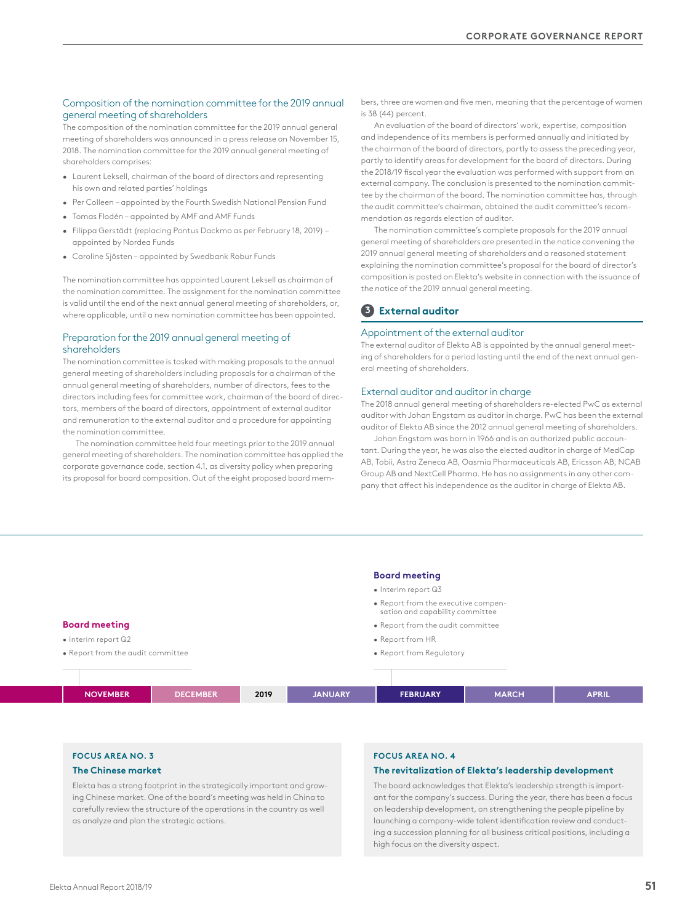## Composition of the nomination committee for the 2019 annual general meeting of shareholders

The composition of the nomination committee for the 2019 annual general meeting of shareholders was announced in a press release on November 15, 2018. The nomination committee for the 2019 annual general meeting of shareholders comprises:

- Laurent Leksell, chairman of the board of directors and representing his own and related parties' holdings
- Per Colleen appointed by the Fourth Swedish National Pension Fund
- Tomas Flodén appointed by AMF and AMF Funds
- Filippa Gerstädt (replacing Pontus Dackmo as per February 18, 2019) appointed by Nordea Funds
- Caroline Sjösten appointed by Swedbank Robur Funds

The nomination committee has appointed Laurent Leksell as chairman of the nomination committee. The assignment for the nomination committee is valid until the end of the next annual general meeting of shareholders, or, where applicable, until a new nomination committee has been appointed.

## Preparation for the 2019 annual general meeting of shareholders

The nomination committee is tasked with making proposals to the annual general meeting of shareholders including proposals for a chairman of the annual general meeting of shareholders, number of directors, fees to the directors including fees for committee work, chairman of the board of directors, members of the board of directors, appointment of external auditor and remuneration to the external auditor and a procedure for appointing the nomination committee.

The nomination committee held four meetings prior to the 2019 annual general meeting of shareholders. The nomination committee has applied the corporate governance code, section 4.1, as diversity policy when preparing its proposal for board composition. Out of the eight proposed board members, three are women and five men, meaning that the percentage of women is 38 (44) percent.

An evaluation of the board of directors' work, expertise, composition and independence of its members is performed annually and initiated by the chairman of the board of directors, partly to assess the preceding year, partly to identify areas for development for the board of directors. During the 2018/19 fiscal year the evaluation was performed with support from an external company. The conclusion is presented to the nomination committee by the chairman of the board. The nomination committee has, through the audit committee's chairman, obtained the audit committee's recommendation as regards election of auditor.

The nomination committee's complete proposals for the 2019 annual general meeting of shareholders are presented in the notice convening the 2019 annual general meeting of shareholders and a reasoned statement explaining the nomination committee's proposal for the board of director's composition is posted on Elekta's website in connection with the issuance of the notice of the 2019 annual general meeting.

## **3 External auditor**

## Appointment of the external auditor

The external auditor of Elekta AB is appointed by the annual general meeting of shareholders for a period lasting until the end of the next annual general meeting of shareholders.

## External auditor and auditor in charge

The 2018 annual general meeting of shareholders re-elected PwC as external auditor with Johan Engstam as auditor in charge. PwC has been the external auditor of Elekta AB since the 2012 annual general meeting of shareholders.

Johan Engstam was born in 1966 and is an authorized public accountant. During the year, he was also the elected auditor in charge of MedCap AB, Tobii, Astra Zeneca AB, Oasmia Pharmaceuticals AB, Ericsson AB, NCAB Group AB and NextCell Pharma. He has no assignments in any other company that affect his independence as the auditor in charge of Elekta AB.



## **FOCUS AREA NO. 3**

## **The Chinese market**

Elekta has a strong footprint in the strategically important and growing Chinese market. One of the board's meeting was held in China to carefully review the structure of the operations in the country as well as analyze and plan the strategic actions.

#### **FOCUS AREA NO. 4**

#### **The revitalization of Elekta's leadership development**

The board acknowledges that Elekta's leadership strength is important for the company's success. During the year, there has been a focus on leadership development, on strengthening the people pipeline by launching a company-wide talent identification review and conducting a succession planning for all business critical positions, including a high focus on the diversity aspect.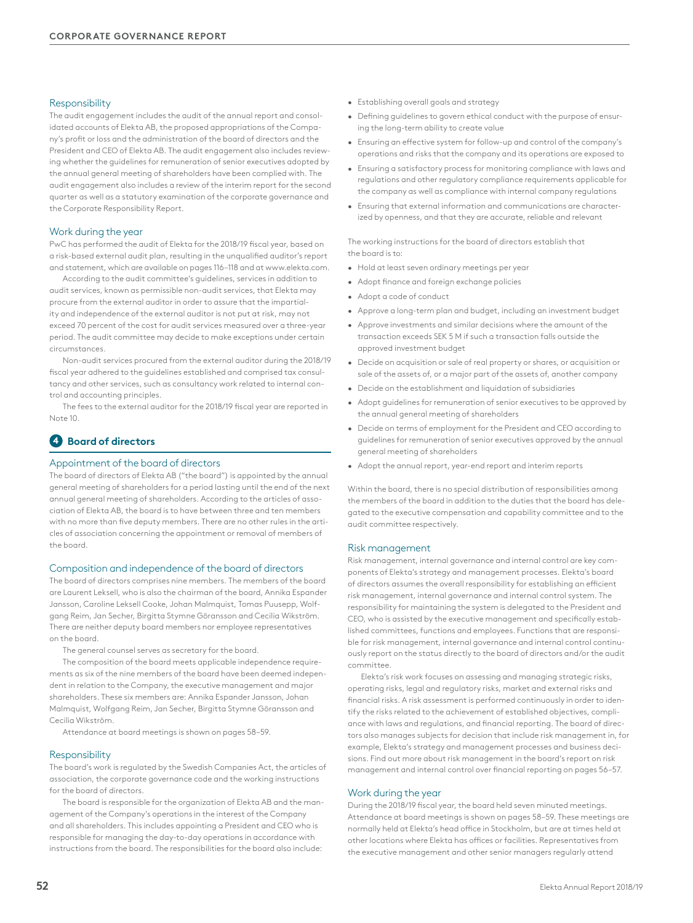## Responsibility

The audit engagement includes the audit of the annual report and consolidated accounts of Elekta AB, the proposed appropriations of the Company's profit or loss and the administration of the board of directors and the President and CEO of Elekta AB. The audit engagement also includes reviewing whether the guidelines for remuneration of senior executives adopted by the annual general meeting of shareholders have been complied with. The audit engagement also includes a review of the interim report for the second quarter as well as a statutory examination of the corporate governance and the Corporate Responsibility Report.

### Work during the year

PwC has performed the audit of Elekta for the 2018/19 fiscal year, based on a risk-based external audit plan, resulting in the unqualified auditor's report and statement, which are available on pages 116–118 and at www.elekta.com.

According to the audit committee's guidelines, services in addition to audit services, known as permissible non-audit services, that Elekta may procure from the external auditor in order to assure that the impartiality and independence of the external auditor is not put at risk, may not exceed 70 percent of the cost for audit services measured over a three-year period. The audit committee may decide to make exceptions under certain circumstances.

Non-audit services procured from the external auditor during the 2018/19 fiscal year adhered to the guidelines established and comprised tax consultancy and other services, such as consultancy work related to internal control and accounting principles.

The fees to the external auditor for the 2018/19 fiscal year are reported in Note 10.

## **4 Board of directors**

## Appointment of the board of directors

The board of directors of Elekta AB ("the board") is appointed by the annual general meeting of shareholders for a period lasting until the end of the next annual general meeting of shareholders. According to the articles of association of Elekta AB, the board is to have between three and ten members with no more than five deputy members. There are no other rules in the articles of association concerning the appointment or removal of members of the board.

#### Composition and independence of the board of directors

The board of directors comprises nine members. The members of the board are Laurent Leksell, who is also the chairman of the board, Annika Espander Jansson, Caroline Leksell Cooke, Johan Malmquist, Tomas Puusepp, Wolfgang Reim, Jan Secher, Birgitta Stymne Göransson and Cecilia Wikström. There are neither deputy board members nor employee representatives on the board.

The general counsel serves as secretary for the board.

The composition of the board meets applicable independence requirements as six of the nine members of the board have been deemed independent in relation to the Company, the executive management and major shareholders. These six members are: Annika Espander Jansson, Johan Malmquist, Wolfgang Reim, Jan Secher, Birgitta Stymne Göransson and Cecilia Wikström.

Attendance at board meetings is shown on pages 58–59.

#### Responsibility

The board's work is regulated by the Swedish Companies Act, the articles of association, the corporate governance code and the working instructions for the board of directors.

The board is responsible for the organization of Elekta AB and the management of the Company's operations in the interest of the Company and all shareholders. This includes appointing a President and CEO who is responsible for managing the day-to-day operations in accordance with instructions from the board. The responsibilities for the board also include:

- Establishing overall goals and strategy
- Defining guidelines to govern ethical conduct with the purpose of ensuring the long-term ability to create value
- Ensuring an effective system for follow-up and control of the company's operations and risks that the company and its operations are exposed to
- Ensuring a satisfactory process for monitoring compliance with laws and regulations and other regulatory compliance requirements applicable for the company as well as compliance with internal company regulations
- Ensuring that external information and communications are characterized by openness, and that they are accurate, reliable and relevant

The working instructions for the board of directors establish that the board is to:

- Hold at least seven ordinary meetings per year
- Adopt finance and foreign exchange policies
- Adopt a code of conduct
- Approve a long-term plan and budget, including an investment budget
- Approve investments and similar decisions where the amount of the transaction exceeds SEK 5 M if such a transaction falls outside the approved investment budget
- Decide on acquisition or sale of real property or shares, or acquisition or sale of the assets of, or a major part of the assets of, another company
- Decide on the establishment and liquidation of subsidiaries
- Adopt guidelines for remuneration of senior executives to be approved by the annual general meeting of shareholders
- Decide on terms of employment for the President and CEO according to guidelines for remuneration of senior executives approved by the annual general meeting of shareholders
- Adopt the annual report, year-end report and interim reports

Within the board, there is no special distribution of responsibilities among the members of the board in addition to the duties that the board has delegated to the executive compensation and capability committee and to the audit committee respectively.

#### Risk management

Risk management, internal governance and internal control are key components of Elekta's strategy and management processes. Elekta's board of directors assumes the overall responsibility for establishing an efficient risk management, internal governance and internal control system. The responsibility for maintaining the system is delegated to the President and CEO, who is assisted by the executive management and specifically established committees, functions and employees. Functions that are responsible for risk management, internal governance and internal control continuously report on the status directly to the board of directors and/or the audit committee.

Elekta's risk work focuses on assessing and managing strategic risks, operating risks, legal and regulatory risks, market and external risks and financial risks. A risk assessment is performed continuously in order to identify the risks related to the achievement of established objectives, compliance with laws and regulations, and financial reporting. The board of directors also manages subjects for decision that include risk management in, for example, Elekta's strategy and management processes and business decisions. Find out more about risk management in the board's report on risk management and internal control over financial reporting on pages 56–57.

#### Work during the year

During the 2018/19 fiscal year, the board held seven minuted meetings. Attendance at board meetings is shown on pages 58–59. These meetings are normally held at Elekta's head office in Stockholm, but are at times held at other locations where Elekta has offices or facilities. Representatives from the executive management and other senior managers regularly attend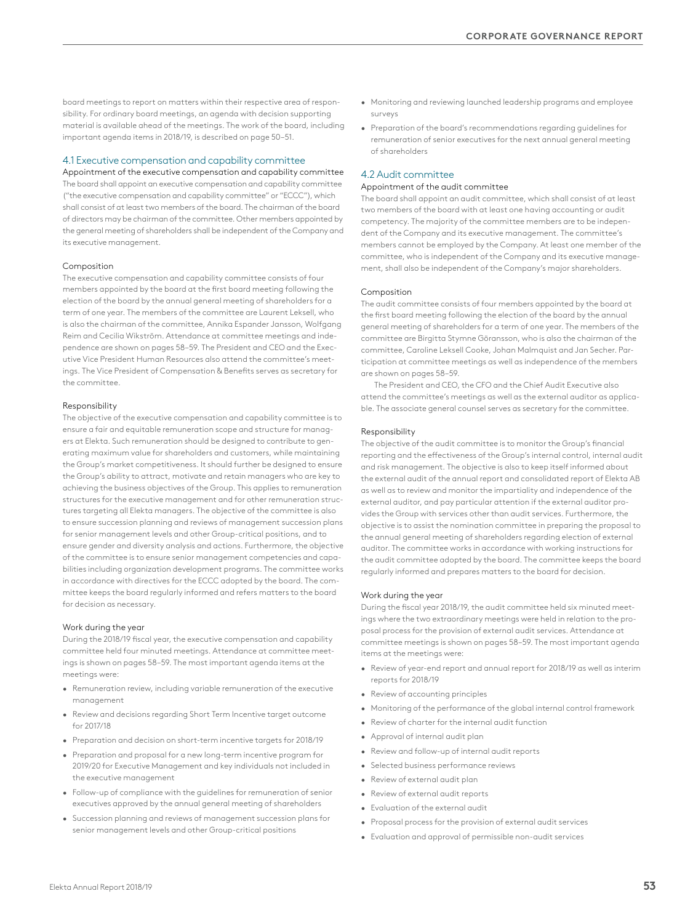board meetings to report on matters within their respective area of responsibility. For ordinary board meetings, an agenda with decision supporting material is available ahead of the meetings. The work of the board, including important agenda items in 2018/19, is described on page 50–51.

## 4.1 Executive compensation and capability committee

Appointment of the executive compensation and capability committee The board shall appoint an executive compensation and capability committee ("the executive compensation and capability committee" or "ECCC"), which shall consist of at least two members of the board. The chairman of the board of directors may be chairman of the committee. Other members appointed by the general meeting of shareholders shall be independent of the Company and its executive management.

#### Composition

The executive compensation and capability committee consists of four members appointed by the board at the first board meeting following the election of the board by the annual general meeting of shareholders for a term of one year. The members of the committee are Laurent Leksell, who is also the chairman of the committee, Annika Espander Jansson, Wolfgang Reim and Cecilia Wikström. Attendance at committee meetings and independence are shown on pages 58–59. The President and CEO and the Executive Vice President Human Resources also attend the committee's meetings. The Vice President of Compensation & Benefits serves as secretary for the committee.

#### Responsibility

The objective of the executive compensation and capability committee is to ensure a fair and equitable remuneration scope and structure for managers at Elekta. Such remuneration should be designed to contribute to generating maximum value for shareholders and customers, while maintaining the Group's market competitiveness. It should further be designed to ensure the Group's ability to attract, motivate and retain managers who are key to achieving the business objectives of the Group. This applies to remuneration structures for the executive management and for other remuneration structures targeting all Elekta managers. The objective of the committee is also to ensure succession planning and reviews of management succession plans for senior management levels and other Group-critical positions, and to ensure gender and diversity analysis and actions. Furthermore, the objective of the committee is to ensure senior management competencies and capabilities including organization development programs. The committee works in accordance with directives for the ECCC adopted by the board. The committee keeps the board regularly informed and refers matters to the board for decision as necessary.

#### Work during the year

During the 2018/19 fiscal year, the executive compensation and capability committee held four minuted meetings. Attendance at committee meetings is shown on pages 58–59. The most important agenda items at the meetings were:

- Remuneration review, including variable remuneration of the executive management
- Review and decisions regarding Short Term Incentive target outcome for 2017/18
- Preparation and decision on short-term incentive targets for 2018/19
- Preparation and proposal for a new long-term incentive program for 2019/20 for Executive Management and key individuals not included in the executive management
- Follow-up of compliance with the guidelines for remuneration of senior executives approved by the annual general meeting of shareholders
- Succession planning and reviews of management succession plans for senior management levels and other Group-critical positions
- Monitoring and reviewing launched leadership programs and employee surveys
- Preparation of the board's recommendations regarding guidelines for remuneration of senior executives for the next annual general meeting of shareholders

### 4.2 Audit committee

#### Appointment of the audit committee

The board shall appoint an audit committee, which shall consist of at least two members of the board with at least one having accounting or audit competency. The majority of the committee members are to be independent of the Company and its executive management. The committee's members cannot be employed by the Company. At least one member of the committee, who is independent of the Company and its executive management, shall also be independent of the Company's major shareholders.

#### Composition

The audit committee consists of four members appointed by the board at the first board meeting following the election of the board by the annual general meeting of shareholders for a term of one year. The members of the committee are Birgitta Stymne Göransson, who is also the chairman of the committee, Caroline Leksell Cooke, Johan Malmquist and Jan Secher. Participation at committee meetings as well as independence of the members are shown on pages 58–59.

The President and CEO, the CFO and the Chief Audit Executive also attend the committee's meetings as well as the external auditor as applicable. The associate general counsel serves as secretary for the committee.

#### Responsibility

The objective of the audit committee is to monitor the Group's financial reporting and the effectiveness of the Group's internal control, internal audit and risk management. The objective is also to keep itself informed about the external audit of the annual report and consolidated report of Elekta AB as well as to review and monitor the impartiality and independence of the external auditor, and pay particular attention if the external auditor provides the Group with services other than audit services. Furthermore, the objective is to assist the nomination committee in preparing the proposal to the annual general meeting of shareholders regarding election of external auditor. The committee works in accordance with working instructions for the audit committee adopted by the board. The committee keeps the board regularly informed and prepares matters to the board for decision.

#### Work during the year

During the fiscal year 2018/19, the audit committee held six minuted meetings where the two extraordinary meetings were held in relation to the proposal process for the provision of external audit services. Attendance at committee meetings is shown on pages 58–59. The most important agenda items at the meetings were:

- Review of year-end report and annual report for 2018/19 as well as interim reports for 2018/19
- Review of accounting principles
- Monitoring of the performance of the global internal control framework
- Review of charter for the internal audit function
- Approval of internal audit plan
- Review and follow-up of internal audit reports
- Selected business performance reviews
- Review of external audit plan
- Review of external audit reports
- Evaluation of the external audit
- Proposal process for the provision of external audit services
- Evaluation and approval of permissible non-audit services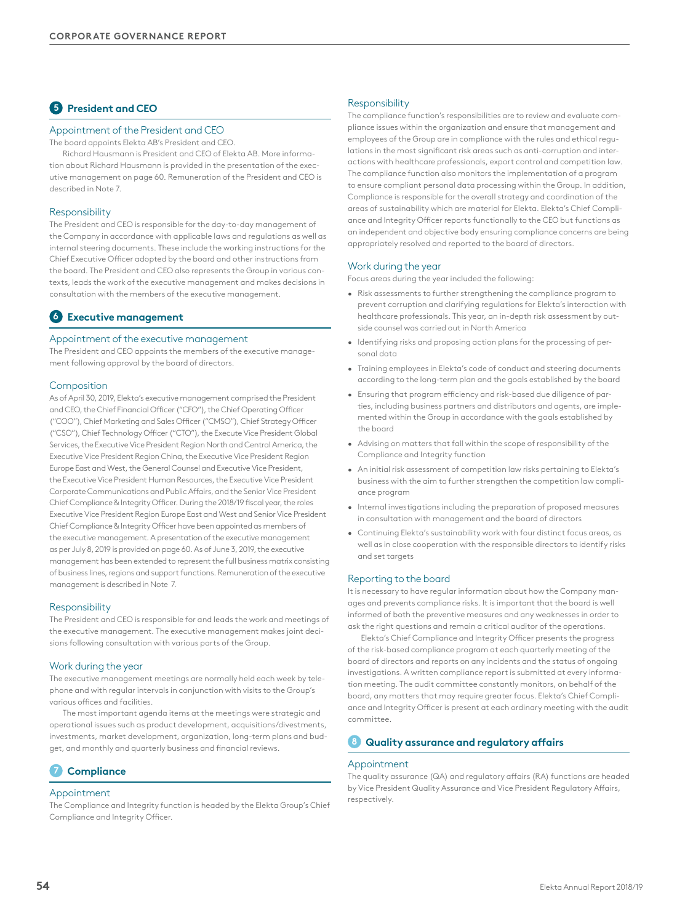## **5 President and CEO**

### Appointment of the President and CEO

The board appoints Elekta AB's President and CEO.

Richard Hausmann is President and CEO of Elekta AB. More information about Richard Hausmann is provided in the presentation of the executive management on page 60. Remuneration of the President and CEO is described in Note 7.

## Responsibility

The President and CEO is responsible for the day-to-day management of the Company in accordance with applicable laws and regulations as well as internal steering documents. These include the working instructions for the Chief Executive Officer adopted by the board and other instructions from the board. The President and CEO also represents the Group in various contexts, leads the work of the executive management and makes decisions in consultation with the members of the executive management.

## **6 Executive management**

### Appointment of the executive management

The President and CEO appoints the members of the executive management following approval by the board of directors.

### Composition

As of April 30, 2019, Elekta's executive management comprised the President and CEO, the Chief Financial Officer ("CFO"), the Chief Operating Officer ("COO"), Chief Marketing and Sales Officer ("CMSO"), Chief Strategy Officer ("CSO"), Chief Technology Officer ("CTO"), the Execute Vice President Global Services, the Executive Vice President Region North and Central America, the Executive Vice President Region China, the Executive Vice President Region Europe East and West, the General Counsel and Executive Vice President, the Executive Vice President Human Resources, the Executive Vice President Corporate Communications and Public Affairs, and the Senior Vice President Chief Compliance & Integrity Officer. During the 2018/19 fiscal year, the roles Executive Vice President Region Europe East and West and Senior Vice President Chief Compliance & Integrity Officer have been appointed as members of the executive management. A presentation of the executive management as per July 8, 2019 is provided on page 60. As of June 3, 2019, the executive management has been extended to represent the full business matrix consisting of business lines, regions and support functions. Remuneration of the executive management is described in Note 7.

#### Responsibility

The President and CEO is responsible for and leads the work and meetings of the executive management. The executive management makes joint decisions following consultation with various parts of the Group.

## Work during the year

The executive management meetings are normally held each week by telephone and with regular intervals in conjunction with visits to the Group's various offices and facilities.

The most important agenda items at the meetings were strategic and operational issues such as product development, acquisitions/divestments, investments, market development, organization, long-term plans and budget, and monthly and quarterly business and financial reviews.

## **7 Compliance**

#### Appointment

The Compliance and Integrity function is headed by the Elekta Group's Chief Compliance and Integrity Officer.

## Responsibility

The compliance function's responsibilities are to review and evaluate compliance issues within the organization and ensure that management and employees of the Group are in compliance with the rules and ethical regulations in the most significant risk areas such as anti-corruption and interactions with healthcare professionals, export control and competition law. The compliance function also monitors the implementation of a program to ensure compliant personal data processing within the Group. In addition, Compliance is responsible for the overall strategy and coordination of the areas of sustainability which are material for Elekta. Elekta's Chief Compliance and Integrity Officer reports functionally to the CEO but functions as an independent and objective body ensuring compliance concerns are being appropriately resolved and reported to the board of directors.

### Work during the year

Focus areas during the year included the following:

- Risk assessments to further strengthening the compliance program to prevent corruption and clarifying regulations for Elekta's interaction with healthcare professionals. This year, an in-depth risk assessment by outside counsel was carried out in North America
- Identifying risks and proposing action plans for the processing of personal data
- Training employees in Elekta's code of conduct and steering documents according to the long-term plan and the goals established by the board
- Ensuring that program efficiency and risk-based due diligence of parties, including business partners and distributors and agents, are implemented within the Group in accordance with the goals established by the board
- Advising on matters that fall within the scope of responsibility of the Compliance and Integrity function
- An initial risk assessment of competition law risks pertaining to Elekta's business with the aim to further strengthen the competition law compliance program
- Internal investigations including the preparation of proposed measures in consultation with management and the board of directors
- Continuing Elekta's sustainability work with four distinct focus areas, as well as in close cooperation with the responsible directors to identify risks and set targets

### Reporting to the board

It is necessary to have regular information about how the Company manages and prevents compliance risks. It is important that the board is well informed of both the preventive measures and any weaknesses in order to ask the right questions and remain a critical auditor of the operations.

Elekta's Chief Compliance and Integrity Officer presents the progress of the risk-based compliance program at each quarterly meeting of the board of directors and reports on any incidents and the status of ongoing investigations. A written compliance report is submitted at every information meeting. The audit committee constantly monitors, on behalf of the board, any matters that may require greater focus. Elekta's Chief Compliance and Integrity Officer is present at each ordinary meeting with the audit committee.

## **8 Quality assurance and regulatory affairs**

#### Appointment

The quality assurance (QA) and regulatory affairs (RA) functions are headed by Vice President Quality Assurance and Vice President Regulatory Affairs, respectively.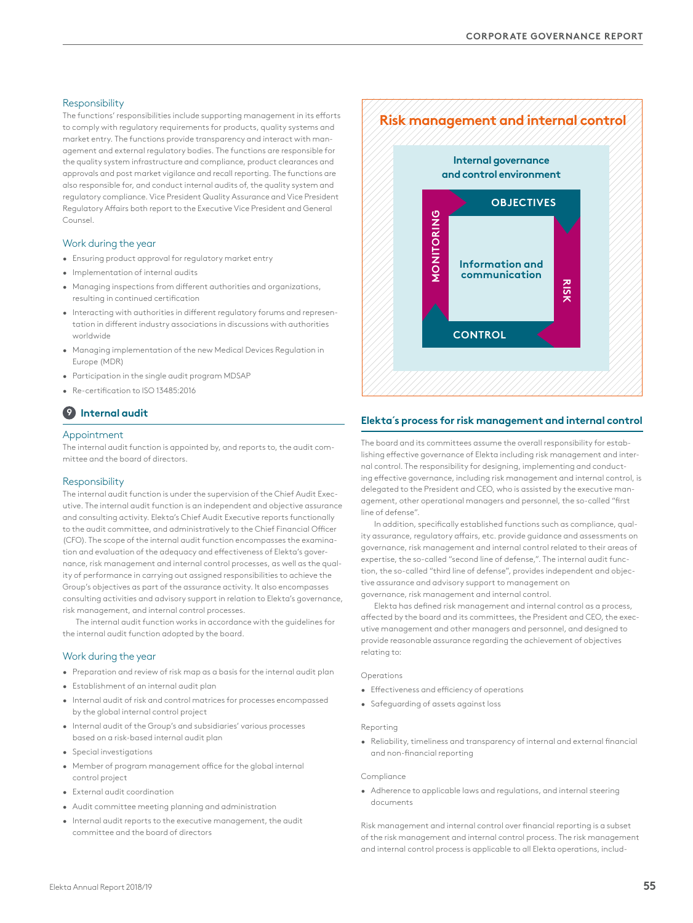## Responsibility

The functions' responsibilities include supporting management in its efforts to comply with regulatory requirements for products, quality systems and market entry. The functions provide transparency and interact with management and external regulatory bodies. The functions are responsible for the quality system infrastructure and compliance, product clearances and approvals and post market vigilance and recall reporting. The functions are also responsible for, and conduct internal audits of, the quality system and regulatory compliance. Vice President Quality Assurance and Vice President Regulatory Affairs both report to the Executive Vice President and General Counsel.

## Work during the year

- Ensuring product approval for regulatory market entry
- Implementation of internal audits
- Managing inspections from different authorities and organizations, resulting in continued certification
- Interacting with authorities in different regulatory forums and representation in different industry associations in discussions with authorities worldwide
- Managing implementation of the new Medical Devices Regulation in Europe (MDR)
- Participation in the single audit program MDSAP
- Re-certification to ISO 13485:2016

# **9 Internal audit**

### Appointment

The internal audit function is appointed by, and reports to, the audit committee and the board of directors.

#### Responsibility

The internal audit function is under the supervision of the Chief Audit Executive. The internal audit function is an independent and objective assurance and consulting activity. Elekta's Chief Audit Executive reports functionally to the audit committee, and administratively to the Chief Financial Officer (CFO). The scope of the internal audit function encompasses the examination and evaluation of the adequacy and effectiveness of Elekta's governance, risk management and internal control processes, as well as the quality of performance in carrying out assigned responsibilities to achieve the Group's objectives as part of the assurance activity. It also encompasses consulting activities and advisory support in relation to Elekta's governance, risk management, and internal control processes.

The internal audit function works in accordance with the guidelines for the internal audit function adopted by the board.

### Work during the year

- Preparation and review of risk map as a basis for the internal audit plan
- Establishment of an internal audit plan
- Internal audit of risk and control matrices for processes encompassed by the global internal control project
- Internal audit of the Group's and subsidiaries' various processes based on a risk-based internal audit plan
- Special investigations
- Member of program management office for the global internal control project
- External audit coordination
- Audit committee meeting planning and administration
- Internal audit reports to the executive management, the audit committee and the board of directors



### **Elekta´s process for risk management and internal control**

The board and its committees assume the overall responsibility for establishing effective governance of Elekta including risk management and internal control. The responsibility for designing, implementing and conducting effective governance, including risk management and internal control, is delegated to the President and CEO, who is assisted by the executive management, other operational managers and personnel, the so-called "first line of defense".

In addition, specifically established functions such as compliance, quality assurance, regulatory affairs, etc. provide guidance and assessments on governance, risk management and internal control related to their areas of expertise, the so-called "second line of defense,". The internal audit function, the so-called "third line of defense", provides independent and objective assurance and advisory support to management on governance, risk management and internal control.

Elekta has defined risk management and internal control as a process, affected by the board and its committees, the President and CEO, the executive management and other managers and personnel, and designed to provide reasonable assurance regarding the achievement of objectives relating to:

#### Operations

- Effectiveness and efficiency of operations
- Safeguarding of assets against loss

### Reporting

• Reliability, timeliness and transparency of internal and external financial and non-financial reporting

#### **Compliance**

• Adherence to applicable laws and regulations, and internal steering documents

Risk management and internal control over financial reporting is a subset of the risk management and internal control process. The risk management and internal control process is applicable to all Elekta operations, includ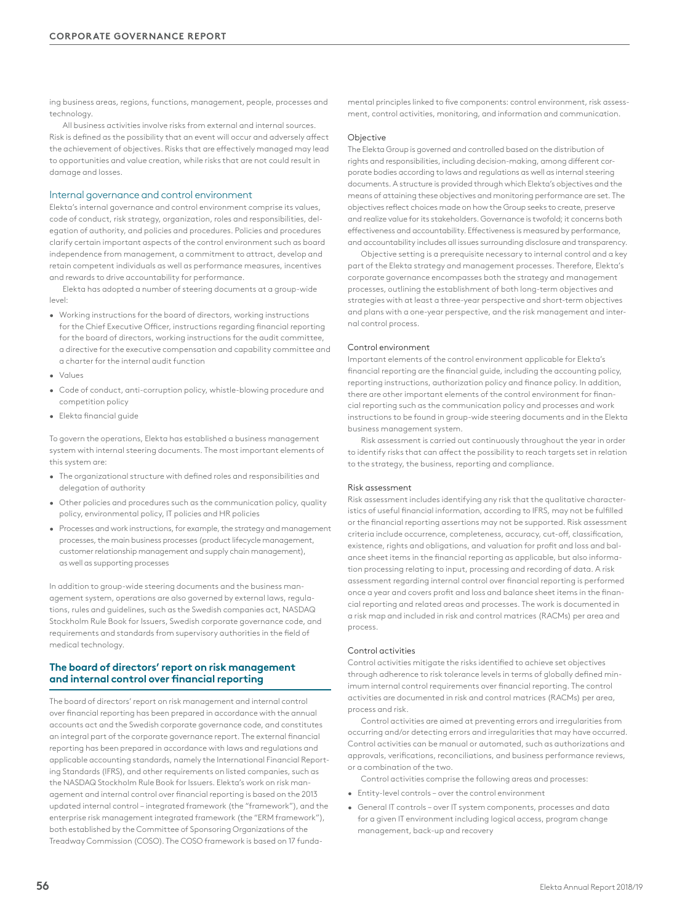ing business areas, regions, functions, management, people, processes and technology.

All business activities involve risks from external and internal sources. Risk is defined as the possibility that an event will occur and adversely affect the achievement of objectives. Risks that are effectively managed may lead to opportunities and value creation, while risks that are not could result in damage and losses.

## Internal governance and control environment

Elekta's internal governance and control environment comprise its values, code of conduct, risk strategy, organization, roles and responsibilities, delegation of authority, and policies and procedures. Policies and procedures clarify certain important aspects of the control environment such as board independence from management, a commitment to attract, develop and retain competent individuals as well as performance measures, incentives and rewards to drive accountability for performance.

Elekta has adopted a number of steering documents at a group-wide level:

- Working instructions for the board of directors, working instructions for the Chief Executive Officer, instructions regarding financial reporting for the board of directors, working instructions for the audit committee, a directive for the executive compensation and capability committee and a charter for the internal audit function
- Values
- Code of conduct, anti-corruption policy, whistle-blowing procedure and competition policy
- Elekta financial guide

To govern the operations, Elekta has established a business management system with internal steering documents. The most important elements of this system are:

- The organizational structure with defined roles and responsibilities and delegation of authority
- Other policies and procedures such as the communication policy, quality policy, environmental policy, IT policies and HR policies
- Processes and work instructions, for example, the strategy and management processes, the main business processes (product lifecycle management, customer relationship management and supply chain management), as well as supporting processes

In addition to group-wide steering documents and the business management system, operations are also governed by external laws, regulations, rules and guidelines, such as the Swedish companies act, NASDAQ Stockholm Rule Book for Issuers, Swedish corporate governance code, and requirements and standards from supervisory authorities in the field of medical technology.

## **The board of directors' report on risk management and internal control over financial reporting**

The board of directors' report on risk management and internal control over financial reporting has been prepared in accordance with the annual accounts act and the Swedish corporate governance code, and constitutes an integral part of the corporate governance report. The external financial reporting has been prepared in accordance with laws and regulations and applicable accounting standards, namely the International Financial Reporting Standards (IFRS), and other requirements on listed companies, such as the NASDAQ Stockholm Rule Book for Issuers. Elekta's work on risk management and internal control over financial reporting is based on the 2013 updated internal control – integrated framework (the "framework"), and the enterprise risk management integrated framework (the "ERM framework"), both established by the Committee of Sponsoring Organizations of the Treadway Commission (COSO). The COSO framework is based on 17 fundamental principles linked to five components: control environment, risk assessment, control activities, monitoring, and information and communication.

### Objective

The Elekta Group is governed and controlled based on the distribution of rights and responsibilities, including decision-making, among different corporate bodies according to laws and regulations as well as internal steering documents. A structure is provided through which Elekta's objectives and the means of attaining these objectives and monitoring performance are set. The objectives reflect choices made on how the Group seeks to create, preserve and realize value for its stakeholders. Governance is twofold; it concerns both effectiveness and accountability. Effectiveness is measured by performance, and accountability includes all issues surrounding disclosure and transparency.

Objective setting is a prerequisite necessary to internal control and a key part of the Elekta strategy and management processes. Therefore, Elekta's corporate governance encompasses both the strategy and management processes, outlining the establishment of both long-term objectives and strategies with at least a three-year perspective and short-term objectives and plans with a one-year perspective, and the risk management and internal control process.

## Control environment

Important elements of the control environment applicable for Elekta's financial reporting are the financial guide, including the accounting policy, reporting instructions, authorization policy and finance policy. In addition, there are other important elements of the control environment for financial reporting such as the communication policy and processes and work instructions to be found in group-wide steering documents and in the Elekta business management system.

Risk assessment is carried out continuously throughout the year in order to identify risks that can affect the possibility to reach targets set in relation to the strategy, the business, reporting and compliance.

#### Risk assessment

Risk assessment includes identifying any risk that the qualitative characteristics of useful financial information, according to IFRS, may not be fulfilled or the financial reporting assertions may not be supported. Risk assessment criteria include occurrence, completeness, accuracy, cut-off, classification, existence, rights and obligations, and valuation for profit and loss and balance sheet items in the financial reporting as applicable, but also information processing relating to input, processing and recording of data. A risk assessment regarding internal control over financial reporting is performed once a year and covers profit and loss and balance sheet items in the financial reporting and related areas and processes. The work is documented in a risk map and included in risk and control matrices (RACMs) per area and process.

#### Control activities

Control activities mitigate the risks identified to achieve set objectives through adherence to risk tolerance levels in terms of globally defined minimum internal control requirements over financial reporting. The control activities are documented in risk and control matrices (RACMs) per area, process and risk.

Control activities are aimed at preventing errors and irregularities from occurring and/or detecting errors and irregularities that may have occurred. Control activities can be manual or automated, such as authorizations and approvals, verifications, reconciliations, and business performance reviews, or a combination of the two.

Control activities comprise the following areas and processes:

- Entity-level controls over the control environment
- General IT controls over IT system components, processes and data for a given IT environment including logical access, program change management, back-up and recovery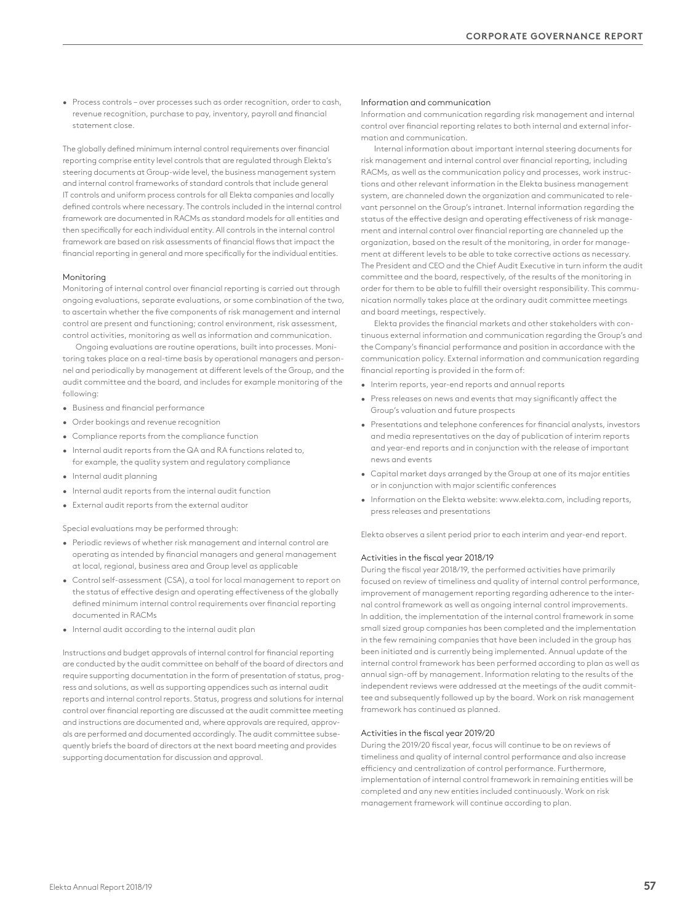• Process controls – over processes such as order recognition, order to cash, revenue recognition, purchase to pay, inventory, payroll and financial statement close.

The globally defined minimum internal control requirements over financial reporting comprise entity level controls that are regulated through Elekta's steering documents at Group-wide level, the business management system and internal control frameworks of standard controls that include general IT controls and uniform process controls for all Elekta companies and locally defined controls where necessary. The controls included in the internal control framework are documented in RACMs as standard models for all entities and then specifically for each individual entity. All controls in the internal control framework are based on risk assessments of financial flows that impact the financial reporting in general and more specifically for the individual entities.

#### Monitoring

Monitoring of internal control over financial reporting is carried out through ongoing evaluations, separate evaluations, or some combination of the two, to ascertain whether the five components of risk management and internal control are present and functioning; control environment, risk assessment, control activities, monitoring as well as information and communication.

Ongoing evaluations are routine operations, built into processes. Monitoring takes place on a real-time basis by operational managers and personnel and periodically by management at different levels of the Group, and the audit committee and the board, and includes for example monitoring of the following:

- Business and financial performance
- Order bookings and revenue recognition
- Compliance reports from the compliance function
- Internal audit reports from the QA and RA functions related to, for example, the quality system and regulatory compliance
- Internal audit planning
- Internal audit reports from the internal audit function
- External audit reports from the external auditor

Special evaluations may be performed through:

- Periodic reviews of whether risk management and internal control are operating as intended by financial managers and general management at local, regional, business area and Group level as applicable
- Control self-assessment (CSA), a tool for local management to report on the status of effective design and operating effectiveness of the globally defined minimum internal control requirements over financial reporting documented in RACMs
- Internal audit according to the internal audit plan

Instructions and budget approvals of internal control for financial reporting are conducted by the audit committee on behalf of the board of directors and require supporting documentation in the form of presentation of status, progress and solutions, as well as supporting appendices such as internal audit reports and internal control reports. Status, progress and solutions for internal control over financial reporting are discussed at the audit committee meeting and instructions are documented and, where approvals are required, approvals are performed and documented accordingly. The audit committee subsequently briefs the board of directors at the next board meeting and provides supporting documentation for discussion and approval.

#### Information and communication

Information and communication regarding risk management and internal control over financial reporting relates to both internal and external information and communication.

Internal information about important internal steering documents for risk management and internal control over financial reporting, including RACMs, as well as the communication policy and processes, work instructions and other relevant information in the Elekta business management system, are channeled down the organization and communicated to relevant personnel on the Group's intranet. Internal information regarding the status of the effective design and operating effectiveness of risk management and internal control over financial reporting are channeled up the organization, based on the result of the monitoring, in order for management at different levels to be able to take corrective actions as necessary. The President and CEO and the Chief Audit Executive in turn inform the audit committee and the board, respectively, of the results of the monitoring in order for them to be able to fulfill their oversight responsibility. This communication normally takes place at the ordinary audit committee meetings and board meetings, respectively.

Elekta provides the financial markets and other stakeholders with continuous external information and communication regarding the Group's and the Company's financial performance and position in accordance with the communication policy. External information and communication regarding financial reporting is provided in the form of:

- Interim reports, year-end reports and annual reports
- Press releases on news and events that may significantly affect the Group's valuation and future prospects
- Presentations and telephone conferences for financial analysts, investors and media representatives on the day of publication of interim reports and year-end reports and in conjunction with the release of important news and events
- Capital market days arranged by the Group at one of its major entities or in conjunction with major scientific conferences
- Information on the Elekta website: www.elekta.com, including reports, press releases and presentations

Elekta observes a silent period prior to each interim and year-end report.

#### Activities in the fiscal year 2018/19

During the fiscal year 2018/19, the performed activities have primarily focused on review of timeliness and quality of internal control performance, improvement of management reporting regarding adherence to the internal control framework as well as ongoing internal control improvements. In addition, the implementation of the internal control framework in some small sized group companies has been completed and the implementation in the few remaining companies that have been included in the group has been initiated and is currently being implemented. Annual update of the internal control framework has been performed according to plan as well as annual sign-off by management. Information relating to the results of the independent reviews were addressed at the meetings of the audit committee and subsequently followed up by the board. Work on risk management framework has continued as planned.

## Activities in the fiscal year 2019/20

During the 2019/20 fiscal year, focus will continue to be on reviews of timeliness and quality of internal control performance and also increase efficiency and centralization of control performance. Furthermore, implementation of internal control framework in remaining entities will be completed and any new entities included continuously. Work on risk management framework will continue according to plan.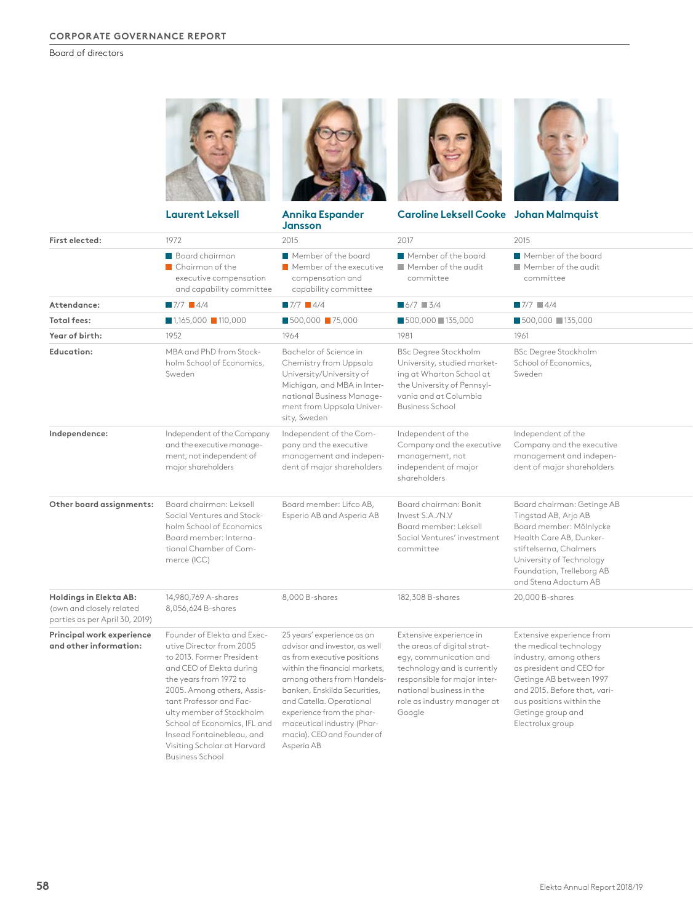Board of directors

|                                                                                      | <b>Laurent Leksell</b>                                                                                                                                                                                                                                                                                                      | <b>Annika Espander</b>                                                                                                                                                                                                                                                                                                       |                                                                                                                                                                                                                      |                                                                                                                                                                                                                                           |
|--------------------------------------------------------------------------------------|-----------------------------------------------------------------------------------------------------------------------------------------------------------------------------------------------------------------------------------------------------------------------------------------------------------------------------|------------------------------------------------------------------------------------------------------------------------------------------------------------------------------------------------------------------------------------------------------------------------------------------------------------------------------|----------------------------------------------------------------------------------------------------------------------------------------------------------------------------------------------------------------------|-------------------------------------------------------------------------------------------------------------------------------------------------------------------------------------------------------------------------------------------|
|                                                                                      |                                                                                                                                                                                                                                                                                                                             | Jansson                                                                                                                                                                                                                                                                                                                      | Caroline Leksell Cooke Johan Malmquist                                                                                                                                                                               |                                                                                                                                                                                                                                           |
| First elected:                                                                       | 1972                                                                                                                                                                                                                                                                                                                        | 2015                                                                                                                                                                                                                                                                                                                         | 2017                                                                                                                                                                                                                 | 2015                                                                                                                                                                                                                                      |
|                                                                                      | Board chairman<br>Chairman of the<br>executive compensation<br>and capability committee                                                                                                                                                                                                                                     | Member of the board<br>Member of the executive<br>compensation and<br>capability committee                                                                                                                                                                                                                                   | Member of the board<br>Member of the audit<br>committee                                                                                                                                                              | Member of the board<br>Member of the audit<br>committee                                                                                                                                                                                   |
| Attendance:                                                                          | $7/7$ 4/4                                                                                                                                                                                                                                                                                                                   | $7/7$ 4/4                                                                                                                                                                                                                                                                                                                    | $6/7$ 3/4                                                                                                                                                                                                            | $7/7$ 4/4                                                                                                                                                                                                                                 |
| <b>Total fees:</b>                                                                   | $1,165,000$ 110,000                                                                                                                                                                                                                                                                                                         | $\blacksquare$ 500,000 $\blacksquare$ 75,000                                                                                                                                                                                                                                                                                 | $\blacksquare$ 500,000 $\blacksquare$ 135,000                                                                                                                                                                        | ■500,000 ■135,000                                                                                                                                                                                                                         |
| Year of birth:                                                                       | 1952                                                                                                                                                                                                                                                                                                                        | 1964                                                                                                                                                                                                                                                                                                                         | 1981                                                                                                                                                                                                                 | 1961                                                                                                                                                                                                                                      |
| Education:                                                                           | MBA and PhD from Stock-<br>holm School of Economics,<br>Sweden                                                                                                                                                                                                                                                              | Bachelor of Science in<br>Chemistry from Uppsala<br>University/University of<br>Michigan, and MBA in Inter-<br>national Business Manage-<br>ment from Uppsala Univer-<br>sity, Sweden                                                                                                                                        | <b>BSc Degree Stockholm</b><br>University, studied market-<br>ing at Wharton School at<br>the University of Pennsyl-<br>vania and at Columbia<br><b>Business School</b>                                              | <b>BSc Degree Stockholm</b><br>School of Economics,<br>Sweden                                                                                                                                                                             |
| Independence:                                                                        | Independent of the Company<br>and the executive manage-<br>ment, not independent of<br>major shareholders                                                                                                                                                                                                                   | Independent of the Com-<br>pany and the executive<br>management and indepen-<br>dent of major shareholders                                                                                                                                                                                                                   | Independent of the<br>Company and the executive<br>management, not<br>independent of major<br>shareholders                                                                                                           | Independent of the<br>Company and the executive<br>management and indepen-<br>dent of major shareholders                                                                                                                                  |
| Other board assignments:                                                             | Board chairman: Leksell<br>Social Ventures and Stock-<br>holm School of Economics<br>Board member: Interna-<br>tional Chamber of Com-<br>merce (ICC)                                                                                                                                                                        | Board member: Lifco AB,<br>Esperio AB and Asperia AB                                                                                                                                                                                                                                                                         | Board chairman: Bonit<br>Invest S.A./N.V<br>Board member: Leksell<br>Social Ventures' investment<br>committee                                                                                                        | Board chairman: Getinge AB<br>Tingstad AB, Arjo AB<br>Board member: Mölnlycke<br>Health Care AB, Dunker-<br>stiftelserna, Chalmers<br>University of Technology<br>Foundation, Trelleborg AB<br>and Stena Adactum AB                       |
| Holdings in Elekta AB:<br>(own and closely related<br>parties as per April 30, 2019) | 14,980,769 A-shares<br>8,056,624 B-shares                                                                                                                                                                                                                                                                                   | 8,000 B-shares                                                                                                                                                                                                                                                                                                               | 182,308 B-shares                                                                                                                                                                                                     | 20,000 B-shares                                                                                                                                                                                                                           |
| Principal work experience<br>and other information:                                  | Founder of Elekta and Exec-<br>utive Director from 2005<br>to 2013. Former President<br>and CEO of Elekta during<br>the years from 1972 to<br>2005. Among others, Assis-<br>tant Professor and Fac-<br>ulty member of Stockholm<br>School of Economics, IFL and<br>Insead Fontainebleau, and<br>Visiting Scholar at Harvard | 25 years' experience as an<br>advisor and investor, as well<br>as from executive positions<br>within the financial markets,<br>among others from Handels-<br>banken, Enskilda Securities,<br>and Catella. Operational<br>experience from the phar-<br>maceutical industry (Phar-<br>macia). CEO and Founder of<br>Asperia AB | Extensive experience in<br>the areas of digital strat-<br>egy, communication and<br>technology and is currently<br>responsible for major inter-<br>national business in the<br>role as industry manager at<br>Google | Extensive experience from<br>the medical technology<br>industry, among others<br>as president and CEO for<br>Getinge AB between 1997<br>and 2015. Before that, vari-<br>ous positions within the<br>Getinge group and<br>Electrolux group |

Business School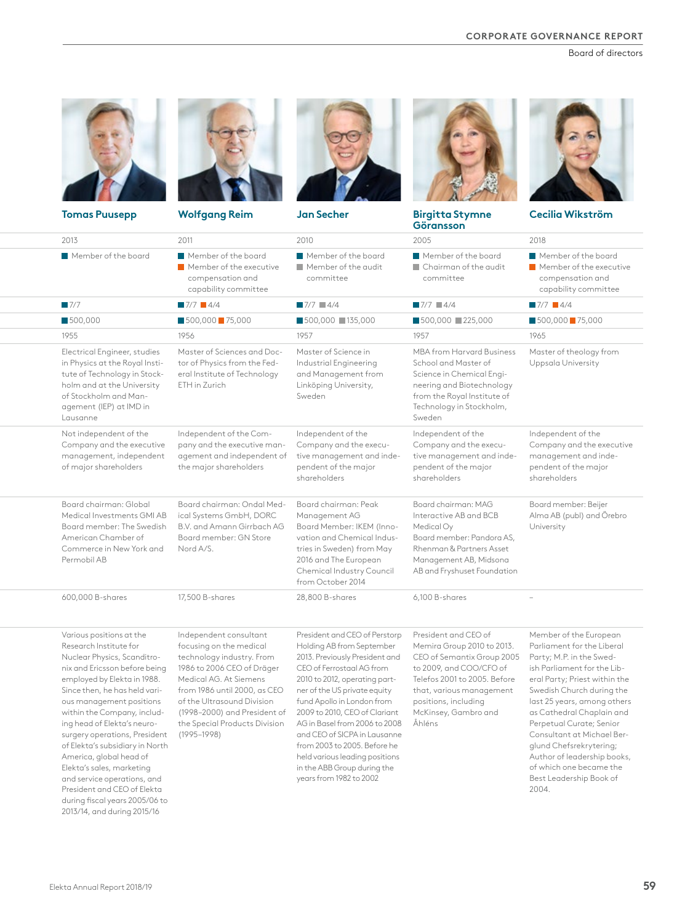Board of directors

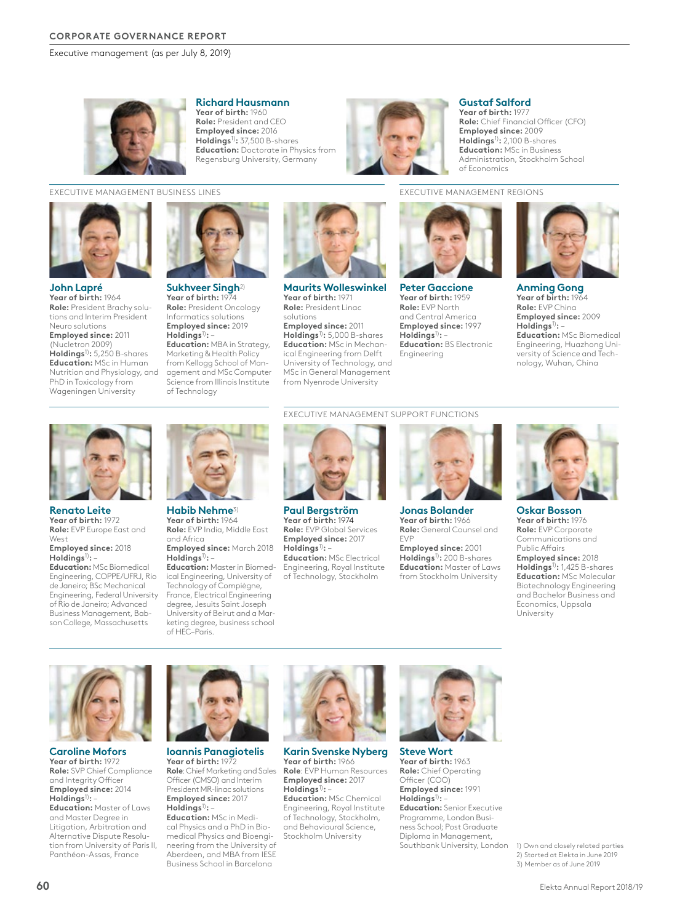Executive management (as per July 8, 2019)



## **Richard Hausmann**

**Year of birth:** 1960 **Role:** President and CEO **Employed since:** 2016 **Holdings**1)**:** 37,500 B-shares **Education:** Doctorate in Physics from Regensburg University, Germany



## **Gustaf Salford**

**Year of birth:** 1977 **Role:** Chief Financial Officer (CFO) **Employed since:** 2009 **Holdings**1)**:** 2,100 B-shares **Education:** MSc in Business Administration, Stockholm School of Economics

## EXECUTIVE MANAGEMENT BUSINESS LINES EXECUTIVE MANAGEMENT REGIONS



**John Lapré Year of birth:** 1964 **Role:** President Brachy solutions and Interim President Neuro solutions **Employed since:** 2011 (Nucletron 2009) **Holdings**1)**:** 5,250 B-shares **Education:** MSc in Human Nutrition and Physiology, and PhD in Toxicology from Wageningen University



**Sukhveer Singh**2) Year of birth: 197 **Role:** President Oncology Informatics solutions **Employed since:** 2019 **Holdings**1)**:** – **Education:** MBA in Strategy, Marketing & Health Policy from Kellogg School of Management and MSc Computer Science from IIlinois Institute of Technology



**Maurits Wolleswinkel Year of birth:** 1971 **Role:** President Linac

solutions **Employed since:** 2011 **Holdings**1)**:** 5,000 B-shares **Education:** MSc in Mechanical Engineering from Delft University of Technology, and MSc in General Management from Nyenrode University

**Peter Gaccione Year of birth:** 1959 **Role:** EVP North and Central America **Employed since:** 1997 **Holdings**1)**:** – **Education:** BS Electronic Engineering



**Anming Gong** Year of birth: 19 **Role:** EVP China **Employed since:** 2009 **Holdings**1)**:** – **Education:** MSc Biomedical Engineering, Huazhong University of Science and Technology, Wuhan, China

## EXECUTIVE MANAGEMENT SUPPORT FUNCTIONS



**Renato Leite Year of birth:** 1972 **Role:** EVP Europe East and West

**Employed since:** 2018 **Holdings**1)**:** –

**Education:** MSc Biomedical Engineering, COPPE/UFRJ, Rio de Janeiro; BSc Mechanical Engineering, Federal University of Rio de Janeiro; Advanced Business Management, Babson College, Massachusetts



**Habib Nehme**3) **Year of birth:** 1964 **Role:** EVP India, Middle East and Africa

**Employed since:** March 2018 **Holdings**1)**:** – **Education:** Master in Biomed-

ical Engineering, University of Technology of Compiègne, France, Electrical Engineering degree, Jesuits Saint Joseph University of Beirut and a Marketing degree, business school of HEC–Paris.



**Paul Bergström Year of birth:** 1974 **Role:** EVP Global Services **Employed since:** 2017 **Holdings**1)**:** – **Education:** MSc Electrical Engineering, Royal Institute of Technology, Stockholm



**Jonas Bolander Year of birth:** 1966 **Role:** General Counsel and EVP

**Employed since:** 2001 **Holdings**1)**:** 200 B-shares **Education:** Master of Laws from Stockholm University



**Oskar Bosson Year of birth:** 1976 **Role:** EVP Corporate Communications and Public Affairs **Employed since:** 2018 **Holdings**1)**:** 1,425 B-shares **Education:** MSc Molecular Biotechnology Engineering and Bachelor Business and Economics, Uppsala University



**Caroline Mofors Year of birth:** 1972 **Role:** SVP Chief Compliance and Integrity Officer **Employed since:** 2014 **Holdings**1)**:** – **Education:** Master of Laws and Master Degree in Litigation, Arbitration and

Alternative Dispute Resolution from University of Paris II, Panthéon-Assas, France



**Ioannis Panagiotelis Year of birth:** 1972

**Role**: Chief Marketing and Sales Officer (CMSO) and Interim President MR-linac solutions **Employed since:** 2017 **Holdings**1)**:** –

**Education:** MSc in Medical Physics and a PhD in Biomedical Physics and Bioengineering from the University of Aberdeen, and MBA from IESE Business School in Barcelona



**Karin Svenske Nyberg Year of birth:** 1966 **Role**: EVP Human Resources **Employed since:** 2017 **Holdings**1)**:** –

**Education:** MSc Chemical Engineering, Royal Institute of Technology, Stockholm, and Behavioural Science, Stockholm University



**Steve Wort Year of birth:** 1963 **Role:** Chief Operating Officer (COO) **Employed since:** 1991 **Holdings**1)**:** –

**Education:** Senior Executive Programme, London Business School; Post Graduate Diploma in Management, Southbank University, London 1) Own and closely related parties

2) Started at Elekta in June 2019 3) Member as of June 2019